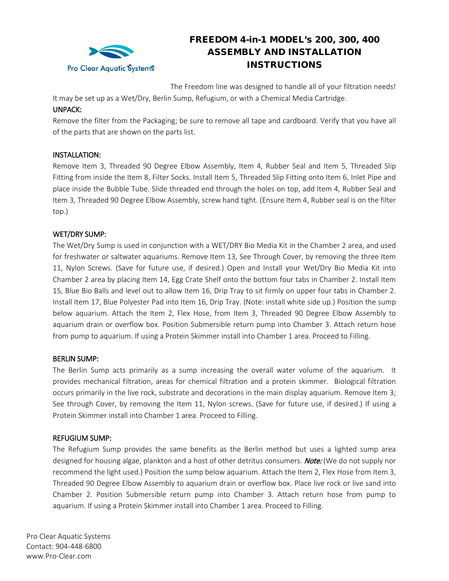

# FREEDOM 4-in-1 MODEL's 200, 300, 400 ASSEMBLY AND INSTALLATION INSTRUCTIONS

The Freedom line was designed to handle all of your filtration needs! It may be set up as a Wet/Dry, Berlin Sump, Refugium, or with a Chemical Media Cartridge.

## UNPACK:

Remove the filter from the Packaging; be sure to remove all tape and cardboard. Verify that you have all of the parts that are shown on the parts list.

## INSTALLATION:

Remove Item 3, Threaded 90 Degree Elbow Assembly, Item 4, Rubber Seal and Item 5, Threaded Slip Fitting from inside the Item 8, Filter Socks. Install Item 5, Threaded Slip Fitting onto Item 6, Inlet Pipe and place inside the Bubble Tube. Slide threaded end through the holes on top, add Item 4, Rubber Seal and Item 3, Threaded 90 Degree Elbow Assembly, screw hand tight. (Ensure Item 4, Rubber seal is on the filter top.)

## WET/DRY SUMP:

The Wet/Dry Sump is used in conjunction with a WET/DRY Bio Media Kit in the Chamber 2 area, and used for freshwater or saltwater aquariums. Remove Item 13, See Through Cover, by removing the three Item 11, Nylon Screws. (Save for future use, if desired.) Open and Install your Wet/Dry Bio Media Kit into Chamber 2 area by placing Item 14, Egg Crate Shelf onto the bottom four tabs in Chamber 2. Install Item 15, Blue Bio Balls and level out to allow Item 16, Drip Tray to sit firmly on upper four tabs in Chamber 2. Install Item 17, Blue Polyester Pad into Item 16, Drip Tray. (Note: install white side up.) Position the sump below aquarium. Attach the Item 2, Flex Hose, from Item 3, Threaded 90 Degree Elbow Assembly to aquarium drain or overflow box. Position Submersible return pump into Chamber 3. Attach return hose from pump to aquarium. If using a Protein Skimmer install into Chamber 1 area. Proceed to Filling.

#### BERLIN SUMP:

The Berlin Sump acts primarily as a sump increasing the overall water volume of the aquarium. It provides mechanical filtration, areas for chemical filtration and a protein skimmer. Biological filtration occurs primarily in the live rock, substrate and decorations in the main display aquarium. Remove Item 3; See through Cover, by removing the Item 11, Nylon screws. (Save for future use, if desired.) If using a Protein Skimmer install into Chamber 1 area. Proceed to Filling.

#### REFUGIUM SUMP:

The Refugium Sump provides the same benefits as the Berlin method but uses a lighted sump area designed for housing algae, plankton and a host of other detritus consumers. **Note:** (We do not supply nor recommend the light used.) Position the sump below aquarium. Attach the Item 2, Flex Hose from Item 3, Threaded 90 Degree Elbow Assembly to aquarium drain or overflow box. Place live rock or live sand into Chamber 2. Position Submersible return pump into Chamber 3. Attach return hose from pump to aquarium. If using a Protein Skimmer install into Chamber 1 area. Proceed to Filling.

Pro Clear Aquatic Systems Contact: 904-448-6800 www.Pro-Clear.com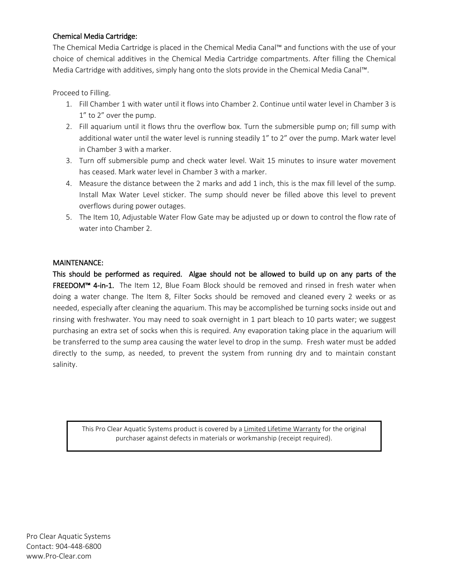## Chemical Media Cartridge:

The Chemical Media Cartridge is placed in the Chemical Media Canal™ and functions with the use of your choice of chemical additives in the Chemical Media Cartridge compartments. After filling the Chemical Media Cartridge with additives, simply hang onto the slots provide in the Chemical Media Canal™.

Proceed to Filling.

- 1. Fill Chamber 1 with water until it flows into Chamber 2. Continue until water level in Chamber 3 is 1" to 2" over the pump.
- 2. Fill aquarium until it flows thru the overflow box. Turn the submersible pump on; fill sump with additional water until the water level is running steadily 1" to 2" over the pump. Mark water level in Chamber 3 with a marker.
- 3. Turn off submersible pump and check water level. Wait 15 minutes to insure water movement has ceased. Mark water level in Chamber 3 with a marker.
- 4. Measure the distance between the 2 marks and add 1 inch, this is the max fill level of the sump. Install Max Water Level sticker. The sump should never be filled above this level to prevent overflows during power outages.
- 5. The Item 10, Adjustable Water Flow Gate may be adjusted up or down to control the flow rate of water into Chamber 2.

# MAINTENANCE:

This should be performed as required. Algae should not be allowed to build up on any parts of the FREEDOM™ 4-in-1. The Item 12, Blue Foam Block should be removed and rinsed in fresh water when doing a water change. The Item 8, Filter Socks should be removed and cleaned every 2 weeks or as needed, especially after cleaning the aquarium. This may be accomplished be turning socks inside out and rinsing with freshwater. You may need to soak overnight in 1 part bleach to 10 parts water; we suggest purchasing an extra set of socks when this is required. Any evaporation taking place in the aquarium will be transferred to the sump area causing the water level to drop in the sump. Fresh water must be added directly to the sump, as needed, to prevent the system from running dry and to maintain constant salinity.

This Pro Clear Aquatic Systems product is covered by a Limited Lifetime Warranty for the original purchaser against defects in materials or workmanship (receipt required).